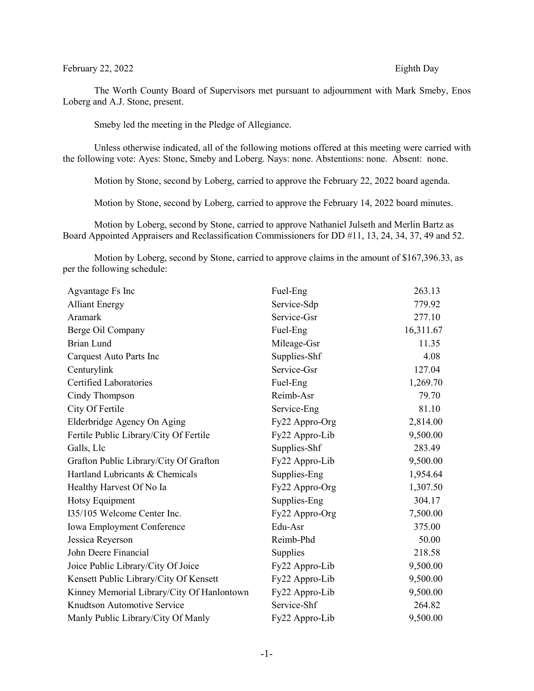## February 22, 2022 Eighth Day

The Worth County Board of Supervisors met pursuant to adjournment with Mark Smeby, Enos Loberg and A.J. Stone, present.

Smeby led the meeting in the Pledge of Allegiance.

Unless otherwise indicated, all of the following motions offered at this meeting were carried with the following vote: Ayes: Stone, Smeby and Loberg. Nays: none. Abstentions: none. Absent: none.

Motion by Stone, second by Loberg, carried to approve the February 22, 2022 board agenda.

Motion by Stone, second by Loberg, carried to approve the February 14, 2022 board minutes.

Motion by Loberg, second by Stone, carried to approve Nathaniel Julseth and Merlin Bartz as Board Appointed Appraisers and Reclassification Commissioners for DD #11, 13, 24, 34, 37, 49 and 52.

Motion by Loberg, second by Stone, carried to approve claims in the amount of \$167,396.33, as per the following schedule:

| Agvantage Fs Inc                           | Fuel-Eng       | 263.13    |
|--------------------------------------------|----------------|-----------|
| <b>Alliant Energy</b>                      | Service-Sdp    | 779.92    |
| Aramark                                    | Service-Gsr    | 277.10    |
| Berge Oil Company                          | Fuel-Eng       | 16,311.67 |
| <b>Brian Lund</b>                          | Mileage-Gsr    | 11.35     |
| Carquest Auto Parts Inc                    | Supplies-Shf   | 4.08      |
| Centurylink                                | Service-Gsr    | 127.04    |
| <b>Certified Laboratories</b>              | Fuel-Eng       | 1,269.70  |
| Cindy Thompson                             | Reimb-Asr      | 79.70     |
| City Of Fertile                            | Service-Eng    | 81.10     |
| Elderbridge Agency On Aging                | Fy22 Appro-Org | 2,814.00  |
| Fertile Public Library/City Of Fertile     | Fy22 Appro-Lib | 9,500.00  |
| Galls, Llc                                 | Supplies-Shf   | 283.49    |
| Grafton Public Library/City Of Grafton     | Fy22 Appro-Lib | 9,500.00  |
| Hartland Lubricants & Chemicals            | Supplies-Eng   | 1,954.64  |
| Healthy Harvest Of No Ia                   | Fy22 Appro-Org | 1,307.50  |
| Hotsy Equipment                            | Supplies-Eng   | 304.17    |
| I35/105 Welcome Center Inc.                | Fy22 Appro-Org | 7,500.00  |
| <b>Iowa Employment Conference</b>          | Edu-Asr        | 375.00    |
| Jessica Reyerson                           | Reimb-Phd      | 50.00     |
| John Deere Financial                       | Supplies       | 218.58    |
| Joice Public Library/City Of Joice         | Fy22 Appro-Lib | 9,500.00  |
| Kensett Public Library/City Of Kensett     | Fy22 Appro-Lib | 9,500.00  |
| Kinney Memorial Library/City Of Hanlontown | Fy22 Appro-Lib | 9,500.00  |
| Knudtson Automotive Service                | Service-Shf    | 264.82    |
| Manly Public Library/City Of Manly         | Fy22 Appro-Lib | 9,500.00  |